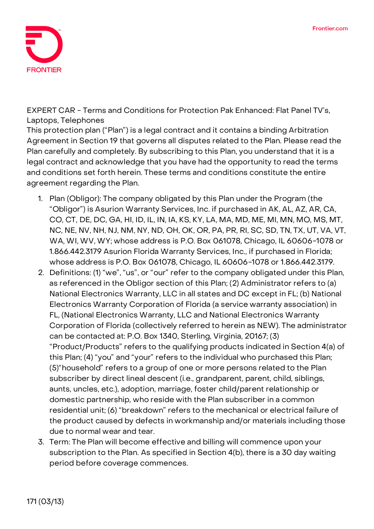

**EXPERT CAR - Terms and Conditions for Protection Pak Enhanced: Flat Panel TV's, Laptops, Telephones**

This protection plan ("Plan") is a legal contract and it contains a binding Arbitration Agreement in Section 19 that governs all disputes related to the Plan. Please read the Plan carefully and completely. By subscribing to this Plan, you understand that it is a legal contract and acknowledge that you have had the opportunity to read the terms and conditions set forth herein. These terms and conditions constitute the entire agreement regarding the Plan.

- 1. **Plan (Obligor):** The company obligated by this Plan under the Program (the "Obligor") is Asurion Warranty Services, Inc. if purchased in AK, AL, AZ, AR, CA, CO, CT, DE, DC, GA, HI, ID, IL, IN, IA, KS, KY, LA, MA, MD, ME, MI, MN, MO, MS, MT, NC, NE, NV, NH, NJ, NM, NY, ND, OH, OK, OR, PA, PR, RI, SC, SD, TN, TX, UT, VA, VT, WA, WI, WV, WY; whose address is P.O. Box 061078, Chicago, IL 60606-1078 or 1.866.442.3179 Asurion Florida Warranty Services, Inc., if purchased in Florida; whose address is P.O. Box 061078, Chicago, IL 60606-1078 or 1.866.442.3179.
- 2. **Definitions:** (1) "we", "us", or "our" refer to the company obligated under this Plan, as referenced in the Obligor section of this Plan; (2) Administrator refers to (a) National Electronics Warranty, LLC in all states and DC except in FL; (b) National Electronics Warranty Corporation of Florida (a service warranty association) in FL, (National Electronics Warranty, LLC and National Electronics Warranty Corporation of Florida (collectively referred to herein as NEW). The administrator can be contacted at: P.O. Box 1340, Sterling, Virginia, 20167; (3) "Product/Products" refers to the qualifying products indicated in Section 4(a) of this Plan; (4) "you" and "your" refers to the individual who purchased this Plan; (5)"household" refers to a group of one or more persons related to the Plan subscriber by direct lineal descent (i.e., grandparent, parent, child, siblings, aunts, uncles, etc.), adoption, marriage, foster child/parent relationship or domestic partnership, who reside with the Plan subscriber in a common residential unit; (6) "breakdown" refers to the mechanical or electrical failure of the product caused by defects in workmanship and/or materials including those due to normal wear and tear.
- 3. **Term:** The Plan will become effective and billing will commence upon your subscription to the Plan. **As specified in Section 4(b), there is a 30 day waiting period before coverage commences.**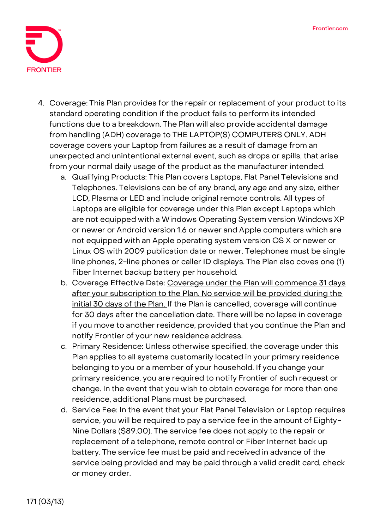

- 4. **Coverage:** This Plan provides for the repair or replacement of your product to its standard operating condition if the product fails to perform its intended functions due to a breakdown. The Plan will also provide accidental damage from handling (ADH) coverage to **THE LAPTOP(S) COMPUTERS ONLY.** ADH coverage covers your Laptop from failures as a result of damage from an unexpected and unintentional external event, such as drops or spills, that arise from your normal daily usage of the product as the manufacturer intended.
	- a. Qualifying Products: This Plan covers Laptops, Flat Panel Televisions and Telephones. Televisions can be of any brand, any age and any size, either LCD, Plasma or LED and include original remote controls. All types of Laptops are eligible for coverage under this Plan except Laptops which are not equipped with a Windows Operating System version Windows XP or newer or Android version 1.6 or newer and Apple computers which are not equipped with an Apple operating system version OS X or newer or Linux OS with 2009 publication date or newer. Telephones must be single line phones, 2-line phones or caller ID displays. The Plan also coves one (1) Fiber Internet backup battery per household.
	- b. Coverage Effective Date: **Coverage under the Plan will commence 31 days after your subscription to the Plan. No service will be provided during the initial 30 days of the Plan. If the Plan is cancelled, coverage will continue for 30 days after the cancellation date.** There will be no lapse in coverage if you move to another residence, provided that you continue the Plan and notify Frontier of your new residence address.
	- c. Primary Residence: Unless otherwise specified, the coverage under this Plan applies to all systems customarily located in your primary residence belonging to you or a member of your household. If you change your primary residence, you are required to notify Frontier of such request or change. In the event that you wish to obtain coverage for more than one residence, additional Plans must be purchased.
	- d. Service Fee: **In the event that your Flat Panel Television or Laptop requires service, you will be required to pay a service fee in the amount of Eighty-Nine Dollars (\$89.00).** The service fee does not apply to the repair or replacement of a telephone, remote control or Fiber Internet back up battery. The service fee must be paid and received in advance of the service being provided and may be paid through a valid credit card, check or money order.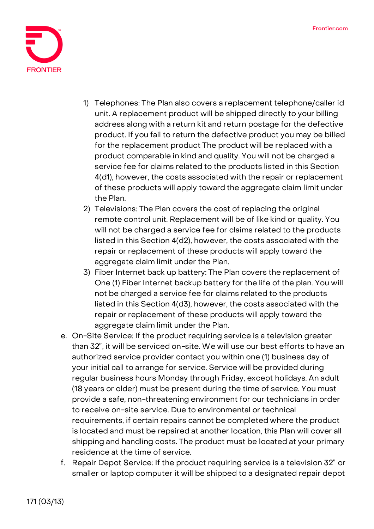

- 1) Telephones: The Plan also covers a replacement telephone/caller id unit. A replacement product will be shipped directly to your billing address along with a return kit and return postage for the defective product. If you fail to return the defective product you may be billed for the replacement product The product will be replaced with a product comparable in kind and quality. You will not be charged a service fee for claims related to the products listed in this Section 4(d1), however, the costs associated with the repair or replacement of these products will apply toward the aggregate claim limit under the Plan.
- 2) Televisions: The Plan covers the cost of replacing the original remote control unit. Replacement will be of like kind or quality. You will not be charged a service fee for claims related to the products listed in this Section 4(d2), however, the costs associated with the repair or replacement of these products will apply toward the aggregate claim limit under the Plan.
- 3) Fiber Internet back up battery: The Plan covers the replacement of One (1) Fiber Internet backup battery for the life of the plan. You will not be charged a service fee for claims related to the products listed in this Section 4(d3), however, the costs associated with the repair or replacement of these products will apply toward the aggregate claim limit under the Plan.
- e. On-Site Service: If the product requiring service is a television greater than 32", it will be serviced on-site. We will use our best efforts to have an authorized service provider contact you within one (1) business day of your initial call to arrange for service. Service will be provided during regular business hours Monday through Friday, except holidays. An adult (18 years or older) must be present during the time of service. You must provide a safe, non-threatening environment for our technicians in order to receive on-site service. Due to environmental or technical requirements, if certain repairs cannot be completed where the product is located and must be repaired at another location, this Plan will cover all shipping and handling costs. The product must be located at your primary residence at the time of service.
- f. Repair Depot Service: If the product requiring service is a television 32" or smaller or laptop computer it will be shipped to a designated repair depot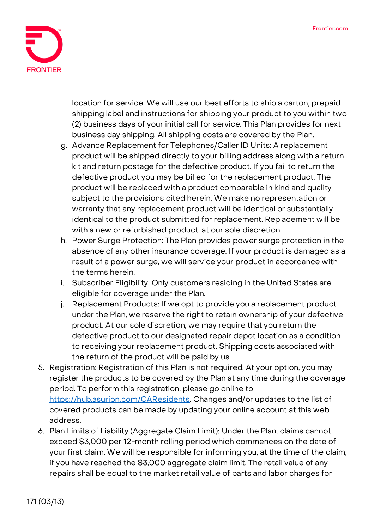

location for service. We will use our best efforts to ship a carton, prepaid shipping label and instructions for shipping your product to you within two (2) business days of your initial call for service. This Plan provides for next business day shipping. All shipping costs are covered by the Plan.

- g. Advance Replacement for Telephones/Caller ID Units: A replacement product will be shipped directly to your billing address along with a return kit and return postage for the defective product. If you fail to return the defective product you may be billed for the replacement product. The product will be replaced with a product comparable in kind and quality subject to the provisions cited herein. We make no representation or warranty that any replacement product will be identical or substantially identical to the product submitted for replacement. Replacement will be with a new or refurbished product, at our sole discretion.
- h. Power Surge Protection: The Plan provides power surge protection in the absence of any other insurance coverage. If your product is damaged as a result of a power surge, we will service your product in accordance with the terms herein.
- i. Subscriber Eligibility. Only customers residing in the United States are eligible for coverage under the Plan.
- j. Replacement Products: If we opt to provide you a replacement product under the Plan, we reserve the right to retain ownership of your defective product. At our sole discretion, we may require that you return the defective product to our designated repair depot location as a condition to receiving your replacement product. Shipping costs associated with the return of the product will be paid by us.
- 5. **Registration:** Registration of this Plan is not required. At your option, you may register the products to be covered by the Plan at any time during the coverage period. To perform this registration, please go online to [https://hub.asurion.com/CAResidents.](https://hub.asurion.com/CAResidents) Changes and/or updates to the list of covered products can be made by updating your online account at this web address.
- 6. **Plan Limits of Liability (Aggregate Claim Limit):** Under the Plan, claims cannot exceed \$3,000 per 12-month rolling period which commences on the date of your first claim. We will be responsible for informing you, at the time of the claim, if you have reached the \$3,000 aggregate claim limit. The retail value of any repairs shall be equal to the market retail value of parts and labor charges for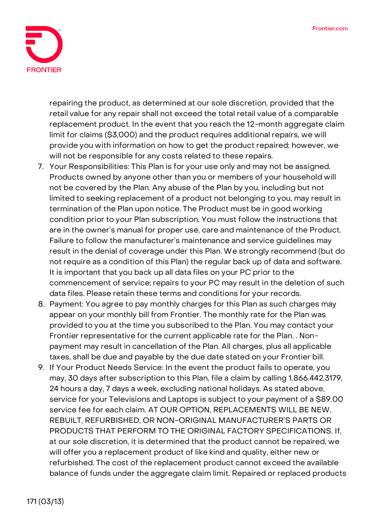

repairing the product, as determined at our sole discretion, provided that the retail value for any repair shall not exceed the total retail value of a comparable replacement product. In the event that you reach the 12-month aggregate claim limit for claims (\$3,000) and the product requires additional repairs, we will provide you with information on how to get the product repaired; however, we will not be responsible for any costs related to these repairs.

- 7. **Your Responsibilities:** This Plan is for your use only and may not be assigned. Products owned by anyone other than you or members of your household will not be covered by the Plan. Any abuse of the Plan by you, including but not limited to seeking replacement of a product not belonging to you, may result in termination of the Plan upon notice. The Product must be in good working condition prior to your Plan subscription. You must follow the instructions that are in the owner's manual for proper use, care and maintenance of the Product. Failure to follow the manufacturer's maintenance and service guidelines may result in the denial of coverage under this Plan. We strongly recommend (but do not require as a condition of this Plan) the regular back up of data and software. It is important that you back up all data files on your PC prior to the commencement of service; repairs to your PC may result in the deletion of such data files. Please retain these terms and conditions for your records.
- 8. **Payment:** You agree to pay monthly charges for this Plan as such charges may appear on your monthly bill from Frontier. The monthly rate for the Plan was provided to you at the time you subscribed to the Plan. You may contact your Frontier representative for the current applicable rate for the Plan. . Nonpayment may result in cancellation of the Plan. All charges, plus all applicable taxes, shall be due and payable by the due date stated on your Frontier bill.
- 9. **If Your Product Needs Service:** In the event the product fails to operate, you may, 30 days after subscription to this Plan, file a claim by calling 1.866.442.3179, 24 hours a day, 7 days a week, excluding national holidays. As stated above, service for your Televisions and Laptops is subject to your payment of a \$89.00 service fee for each claim. **AT OUR OPTION, REPLACEMENTS WILL BE NEW, REBUILT, REFURBISHED, OR NON-ORIGINAL MANUFACTURER'S PARTS OR PRODUCTS THAT PERFORM TO THE ORIGINAL FACTORY SPECIFICATIONS.** If, at our sole discretion, it is determined that the product cannot be repaired, we will offer you a replacement product of like kind and quality, either new or refurbished. The cost of the replacement product cannot exceed the available balance of funds under the aggregate claim limit. Repaired or replaced products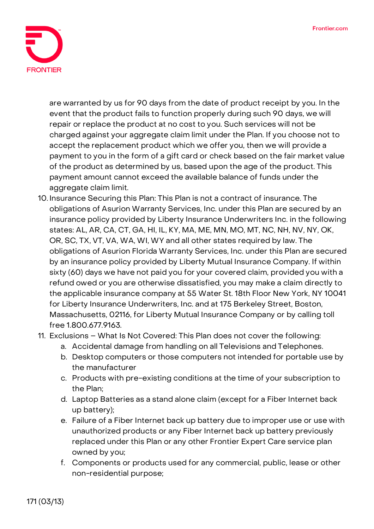

are warranted by us for 90 days from the date of product receipt by you. In the event that the product fails to function properly during such 90 days, we will repair or replace the product at no cost to you. Such services will not be charged against your aggregate claim limit under the Plan. If you choose not to accept the replacement product which we offer you, then we will provide a payment to you in the form of a gift card or check based on the fair market value of the product as determined by us, based upon the age of the product. This payment amount cannot exceed the available balance of funds under the aggregate claim limit.

- 10. **Insurance Securing this Plan:** This Plan is not a contract of insurance. The obligations of Asurion Warranty Services, Inc. under this Plan are secured by an insurance policy provided by Liberty Insurance Underwriters Inc. in the following states: AL, AR, CA, CT, GA, HI, IL, KY, MA, ME, MN, MO, MT, NC, NH, NV, NY, OK, OR, SC, TX, VT, VA, WA, WI, WY and all other states required by law. The obligations of Asurion Florida Warranty Services, Inc. under this Plan are secured by an insurance policy provided by Liberty Mutual Insurance Company. If within sixty (60) days we have not paid you for your covered claim, provided you with a refund owed or you are otherwise dissatisfied, you may make a claim directly to the applicable insurance company at 55 Water St. 18th Floor New York, NY 10041 for Liberty Insurance Underwriters, Inc. and at 175 Berkeley Street, Boston, Massachusetts, 02116, for Liberty Mutual Insurance Company or by calling toll free 1.800.677.9163.
- 11. **Exclusions – What Is Not Covered:** This Plan does not cover the following:
	- a. Accidental damage from handling on all Televisions and Telephones.
	- b. Desktop computers or those computers not intended for portable use by the manufacturer
	- c. Products with pre-existing conditions at the time of your subscription to the Plan;
	- d. Laptop Batteries as a stand alone claim (except for a Fiber Internet back up battery);
	- e. Failure of a Fiber Internet back up battery due to improper use or use with unauthorized products or any Fiber Internet back up battery previously replaced under this Plan or any other Frontier Expert Care service plan owned by you;
	- f. Components or products used for any commercial, public, lease or other non-residential purpose;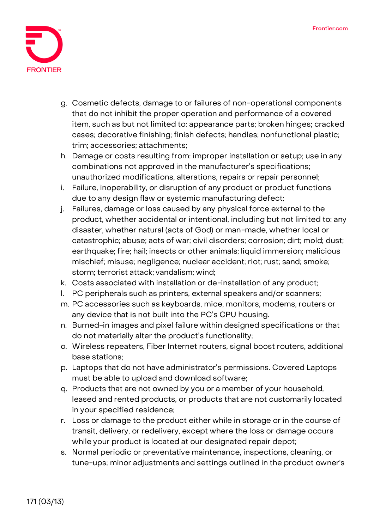

- g. Cosmetic defects, damage to or failures of non-operational components that do not inhibit the proper operation and performance of a covered item, such as but not limited to: appearance parts; broken hinges; cracked cases; decorative finishing; finish defects; handles; nonfunctional plastic; trim; accessories; attachments;
- h. Damage or costs resulting from: improper installation or setup; use in any combinations not approved in the manufacturer's specifications; unauthorized modifications, alterations, repairs or repair personnel;
- i. Failure, inoperability, or disruption of any product or product functions due to any design flaw or systemic manufacturing defect;
- j. Failures, damage or loss caused by any physical force external to the product, whether accidental or intentional, including but not limited to: any disaster, whether natural (acts of God) or man-made, whether local or catastrophic; abuse; acts of war; civil disorders; corrosion; dirt; mold; dust; earthquake; fire; hail; insects or other animals; liquid immersion; malicious mischief; misuse; negligence; nuclear accident; riot; rust; sand; smoke; storm; terrorist attack; vandalism; wind;
- k. Costs associated with installation or de-installation of any product;
- l. PC peripherals such as printers, external speakers and/or scanners;
- m. PC accessories such as keyboards, mice, monitors, modems, routers or any device that is not built into the PC's CPU housing.
- n. Burned-in images and pixel failure within designed specifications or that do not materially alter the product's functionality;
- o. Wireless repeaters, Fiber Internet routers, signal boost routers, additional base stations;
- p. Laptops that do not have administrator's permissions. Covered Laptops must be able to upload and download software;
- q. Products that are not owned by you or a member of your household, leased and rented products, or products that are not customarily located in your specified residence;
- r. Loss or damage to the product either while in storage or in the course of transit, delivery, or redelivery, except where the loss or damage occurs while your product is located at our designated repair depot;
- s. Normal periodic or preventative maintenance, inspections, cleaning, or tune-ups; minor adjustments and settings outlined in the product owner's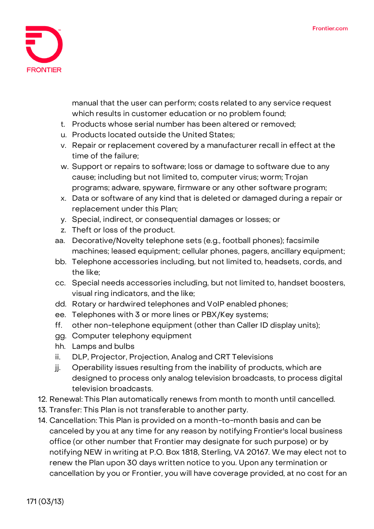

manual that the user can perform; costs related to any service request which results in customer education or no problem found;

- t. Products whose serial number has been altered or removed;
- u. Products located outside the United States;
- v. Repair or replacement covered by a manufacturer recall in effect at the time of the failure;
- w. Support or repairs to software; loss or damage to software due to any cause; including but not limited to, computer virus; worm; Trojan programs; adware, spyware, firmware or any other software program;
- x. Data or software of any kind that is deleted or damaged during a repair or replacement under this Plan;
- y. Special, indirect, or consequential damages or losses; or
- z. Theft or loss of the product.
- aa. Decorative/Novelty telephone sets (e.g., football phones); facsimile machines; leased equipment; cellular phones, pagers, ancillary equipment;
- bb. Telephone accessories including, but not limited to, headsets, cords, and the like;
- cc. Special needs accessories including, but not limited to, handset boosters, visual ring indicators, and the like;
- dd. Rotary or hardwired telephones and VoIP enabled phones;
- ee. Telephones with 3 or more lines or PBX/Key systems;
- ff. other non-telephone equipment (other than Caller ID display units);
- gg. Computer telephony equipment
- hh. Lamps and bulbs
- ii. DLP, Projector, Projection, Analog and CRT Televisions
- jj. Operability issues resulting from the inability of products, which are designed to process only analog television broadcasts, to process digital television broadcasts.
- 12. **Renewal:** This Plan automatically renews from month to month until cancelled.
- 13. **Transfer:** This Plan is not transferable to another party.
- 14. **Cancellation:** This Plan is provided on a month-to-month basis and can be canceled by you at any time for any reason by notifying Frontier's local business office (or other number that Frontier may designate for such purpose) or by notifying NEW in writing at P.O. Box 1818, Sterling, VA 20167. We may elect not to renew the Plan upon 30 days written notice to you. Upon any termination or cancellation by you or Frontier, you will have coverage provided, at no cost for an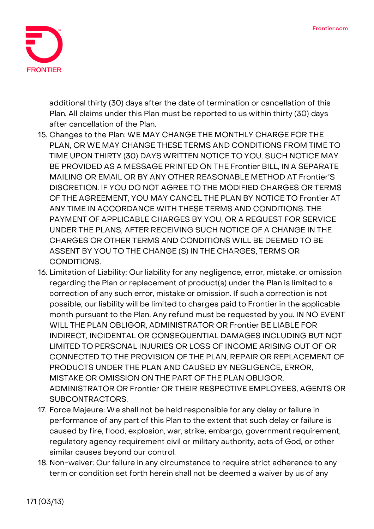

additional thirty (30) days after the date of termination or cancellation of this Plan. All claims under this Plan must be reported to us within thirty (30) days after cancellation of the Plan.

- 15. **Changes to the Plan:** WE MAY CHANGE THE MONTHLY CHARGE FOR THE PLAN, OR WE MAY CHANGE THESE TERMS AND CONDITIONS FROM TIME TO TIME UPON THIRTY (30) DAYS WRITTEN NOTICE TO YOU. SUCH NOTICE MAY BE PROVIDED AS A MESSAGE PRINTED ON THE Frontier BILL, IN A SEPARATE MAILING OR EMAIL OR BY ANY OTHER REASONABLE METHOD AT Frontier'S DISCRETION. IF YOU DO NOT AGREE TO THE MODIFIED CHARGES OR TERMS OF THE AGREEMENT, YOU MAY CANCEL THE PLAN BY NOTICE TO Frontier AT ANY TIME IN ACCORDANCE WITH THESE TERMS AND CONDITIONS. THE PAYMENT OF APPLICABLE CHARGES BY YOU, OR A REQUEST FOR SERVICE UNDER THE PLANS, AFTER RECEIVING SUCH NOTICE OF A CHANGE IN THE CHARGES OR OTHER TERMS AND CONDITIONS WILL BE DEEMED TO BE ASSENT BY YOU TO THE CHANGE (S) IN THE CHARGES, TERMS OR CONDITIONS.
- 16. **Limitation of Liability:** Our liability for any negligence, error, mistake, or omission regarding the Plan or replacement of product(s) under the Plan is limited to a correction of any such error, mistake or omission. If such a correction is not possible, our liability will be limited to charges paid to Frontier in the applicable month pursuant to the Plan. Any refund must be requested by you. IN NO EVENT WILL THE PLAN OBLIGOR, ADMINISTRATOR OR Frontier BE LIABLE FOR INDIRECT, INCIDENTAL OR CONSEQUENTIAL DAMAGES INCLUDING BUT NOT LIMITED TO PERSONAL INJURIES OR LOSS OF INCOME ARISING OUT OF OR CONNECTED TO THE PROVISION OF THE PLAN, REPAIR OR REPLACEMENT OF PRODUCTS UNDER THE PLAN AND CAUSED BY NEGLIGENCE, ERROR, MISTAKE OR OMISSION ON THE PART OF THE PLAN OBLIGOR, ADMINISTRATOR OR Frontier OR THEIR RESPECTIVE EMPLOYEES, AGENTS OR SUBCONTRACTORS.
- 17. **Force Majeure:** We shall not be held responsible for any delay or failure in performance of any part of this Plan to the extent that such delay or failure is caused by fire, flood, explosion, war, strike, embargo, government requirement, regulatory agency requirement civil or military authority, acts of God, or other similar causes beyond our control.
- 18. **Non-waiver:** Our failure in any circumstance to require strict adherence to any term or condition set forth herein shall not be deemed a waiver by us of any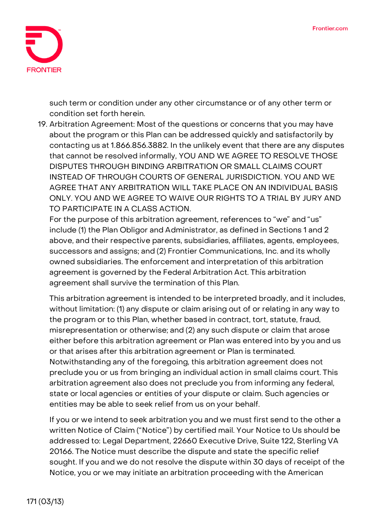

such term or condition under any other circumstance or of any other term or condition set forth herein.

19. **Arbitration Agreement:** Most of the questions or concerns that you may have about the program or this Plan can be addressed quickly and satisfactorily by contacting us at 1.866.856.3882. In the unlikely event that there are any disputes that cannot be resolved informally, **YOU AND WE AGREE TO RESOLVE THOSE DISPUTES THROUGH BINDING ARBITRATION OR SMALL CLAIMS COURT INSTEAD OF THROUGH COURTS OF GENERAL JURISDICTION. YOU AND WE AGREE THAT ANY ARBITRATION WILL TAKE PLACE ON AN INDIVIDUAL BASIS ONLY. YOU AND WE AGREE TO WAIVE OUR RIGHTS TO A TRIAL BY JURY AND TO PARTICIPATE IN A CLASS ACTION.**

For the purpose of this arbitration agreement, references to "we" and "us" include (1) the Plan Obligor and Administrator, as defined in Sections 1 and 2 above, and their respective parents, subsidiaries, affiliates, agents, employees, successors and assigns; and (2) Frontier Communications, Inc. and its wholly owned subsidiaries. The enforcement and interpretation of this arbitration agreement is governed by the Federal Arbitration Act. This arbitration agreement shall survive the termination of this Plan.

This arbitration agreement is intended to be interpreted broadly, and it includes, without limitation: (1) any dispute or claim arising out of or relating in any way to the program or to this Plan, whether based in contract, tort, statute, fraud, misrepresentation or otherwise; and (2) any such dispute or claim that arose either before this arbitration agreement or Plan was entered into by you and us or that arises after this arbitration agreement or Plan is terminated. Notwithstanding any of the foregoing, this arbitration agreement does not preclude you or us from bringing an individual action in small claims court. This arbitration agreement also does not preclude you from informing any federal, state or local agencies or entities of your dispute or claim. Such agencies or entities may be able to seek relief from us on your behalf.

If you or we intend to seek arbitration you and we must first send to the other a written Notice of Claim ("Notice") by certified mail. Your Notice to Us should be addressed to: Legal Department, 22660 Executive Drive, Suite 122, Sterling VA 20166. The Notice must describe the dispute and state the specific relief sought. If you and we do not resolve the dispute within 30 days of receipt of the Notice, you or we may initiate an arbitration proceeding with the American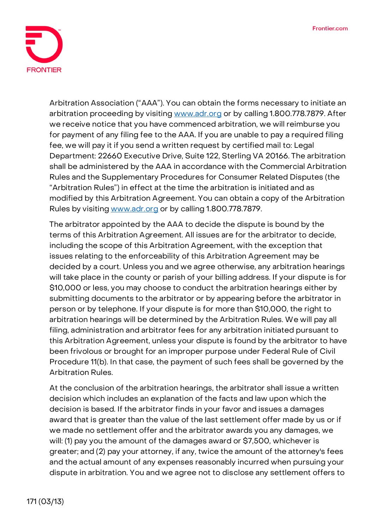

Arbitration Association ("AAA"). You can obtain the forms necessary to initiate an arbitration proceeding by visiting [www.adr.org](http://www.adr.org/) or by calling 1.800.778.7879. After we receive notice that you have commenced arbitration, we will reimburse you for payment of any filing fee to the AAA. If you are unable to pay a required filing fee, we will pay it if you send a written request by certified mail to: Legal Department: 22660 Executive Drive, Suite 122, Sterling VA 20166. The arbitration shall be administered by the AAA in accordance with the Commercial Arbitration Rules and the Supplementary Procedures for Consumer Related Disputes (the "Arbitration Rules") in effect at the time the arbitration is initiated and as modified by this Arbitration Agreement. You can obtain a copy of the Arbitration Rules by visiting [www.adr.org](http://www.adr.org/) or by calling 1.800.778.7879.

The arbitrator appointed by the AAA to decide the dispute is bound by the terms of this Arbitration Agreement. All issues are for the arbitrator to decide, including the scope of this Arbitration Agreement, with the exception that issues relating to the enforceability of this Arbitration Agreement may be decided by a court. Unless you and we agree otherwise, any arbitration hearings will take place in the county or parish of your billing address. If your dispute is for \$10,000 or less, you may choose to conduct the arbitration hearings either by submitting documents to the arbitrator or by appearing before the arbitrator in person or by telephone. If your dispute is for more than \$10,000, the right to arbitration hearings will be determined by the Arbitration Rules. We will pay all filing, administration and arbitrator fees for any arbitration initiated pursuant to this Arbitration Agreement, unless your dispute is found by the arbitrator to have been frivolous or brought for an improper purpose under Federal Rule of Civil Procedure 11(b). In that case, the payment of such fees shall be governed by the Arbitration Rules.

At the conclusion of the arbitration hearings, the arbitrator shall issue a written decision which includes an explanation of the facts and law upon which the decision is based. If the arbitrator finds in your favor and issues a damages award that is greater than the value of the last settlement offer made by us or if we made no settlement offer and the arbitrator awards you any damages, we will: (1) pay you the amount of the damages award or \$7,500, whichever is greater; and (2) pay your attorney, if any, twice the amount of the attorney's fees and the actual amount of any expenses reasonably incurred when pursuing your dispute in arbitration. You and we agree not to disclose any settlement offers to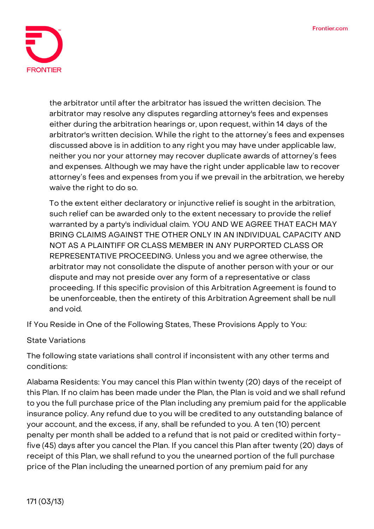

the arbitrator until after the arbitrator has issued the written decision. The arbitrator may resolve any disputes regarding attorney's fees and expenses either during the arbitration hearings or, upon request, within 14 days of the arbitrator's written decision. While the right to the attorney's fees and expenses discussed above is in addition to any right you may have under applicable law, neither you nor your attorney may recover duplicate awards of attorney's fees and expenses. Although we may have the right under applicable law to recover attorney's fees and expenses from you if we prevail in the arbitration, we hereby waive the right to do so.

To the extent either declaratory or injunctive relief is sought in the arbitration, such relief can be awarded only to the extent necessary to provide the relief warranted by a party's individual claim. **YOU AND WE AGREE THAT EACH MAY BRING CLAIMS AGAINST THE OTHER ONLY IN AN INDIVIDUAL CAPACITY AND NOT AS A PLAINTIFF OR CLASS MEMBER IN ANY PURPORTED CLASS OR REPRESENTATIVE PROCEEDING.** Unless you and we agree otherwise, the arbitrator may not consolidate the dispute of another person with your or our dispute and may not preside over any form of a representative or class proceeding. If this specific provision of this Arbitration Agreement is found to be unenforceable, then the entirety of this Arbitration Agreement shall be null and void.

**If You Reside in One of the Following States, These Provisions Apply to You:**

## **State Variations**

The following state variations shall control if inconsistent with any other terms and conditions:

**Alabama Residents:** You may cancel this Plan within twenty (20) days of the receipt of this Plan. If no claim has been made under the Plan, the Plan is void and we shall refund to you the full purchase price of the Plan including any premium paid for the applicable insurance policy. Any refund due to you will be credited to any outstanding balance of your account, and the excess, if any, shall be refunded to you. A ten (10) percent penalty per month shall be added to a refund that is not paid or credited within fortyfive (45) days after you cancel the Plan. If you cancel this Plan after twenty (20) days of receipt of this Plan, we shall refund to you the unearned portion of the full purchase price of the Plan including the unearned portion of any premium paid for any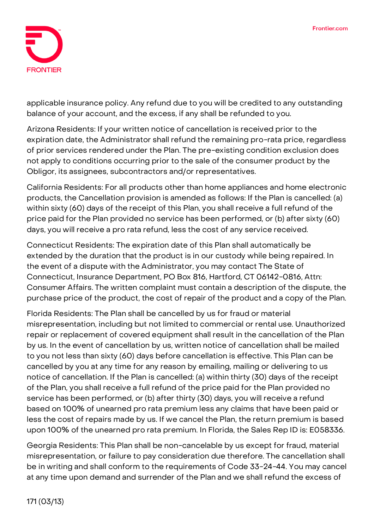

applicable insurance policy. Any refund due to you will be credited to any outstanding balance of your account, and the excess, if any shall be refunded to you.

**Arizona Residents:** If your written notice of cancellation is received prior to the expiration date, the Administrator shall refund the remaining pro-rata price, regardless of prior services rendered under the Plan. The pre-existing condition exclusion does not apply to conditions occurring prior to the sale of the consumer product by the Obligor, its assignees, subcontractors and/or representatives.

**California Residents:** For all products other than home appliances and home electronic products, the Cancellation provision is amended as follows: If the Plan is cancelled: (a) within sixty (60) days of the receipt of this Plan, you shall receive a full refund of the price paid for the Plan provided no service has been performed, or (b) after sixty (60) days, you will receive a pro rata refund, less the cost of any service received.

**Connecticut Residents:** The expiration date of this Plan shall automatically be extended by the duration that the product is in our custody while being repaired. In the event of a dispute with the Administrator, you may contact The State of Connecticut, Insurance Department, PO Box 816, Hartford, CT 06142-0816, Attn: Consumer Affairs. The written complaint must contain a description of the dispute, the purchase price of the product, the cost of repair of the product and a copy of the Plan.

**Florida Residents:** The Plan shall be cancelled by us for fraud or material misrepresentation, including but not limited to commercial or rental use. Unauthorized repair or replacement of covered equipment shall result in the cancellation of the Plan by us. In the event of cancellation by us, written notice of cancellation shall be mailed to you not less than sixty (60) days before cancellation is effective. This Plan can be cancelled by you at any time for any reason by emailing, mailing or delivering to us notice of cancellation. If the Plan is cancelled: (a) within thirty (30) days of the receipt of the Plan, you shall receive a full refund of the price paid for the Plan provided no service has been performed, or (b) after thirty (30) days, you will receive a refund based on 100% of unearned pro rata premium less any claims that have been paid or less the cost of repairs made by us. If we cancel the Plan, the return premium is based upon 100% of the unearned pro rata premium. In Florida, the Sales Rep ID is: E058336.

**Georgia Residents:** This Plan shall be non-cancelable by us except for fraud, material misrepresentation, or failure to pay consideration due therefore. The cancellation shall be in writing and shall conform to the requirements of Code 33-24-44. You may cancel at any time upon demand and surrender of the Plan and we shall refund the excess of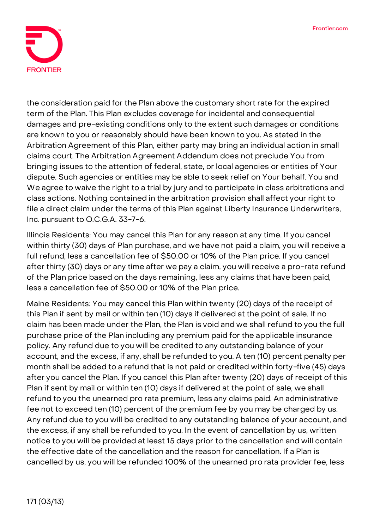

the consideration paid for the Plan above the customary short rate for the expired term of the Plan. This Plan excludes coverage for incidental and consequential damages and pre-existing conditions only to the extent such damages or conditions are known to you or reasonably should have been known to you. As stated in the Arbitration Agreement of this Plan, either party may bring an individual action in small claims court. The Arbitration Agreement Addendum does not preclude You from bringing issues to the attention of federal, state, or local agencies or entities of Your dispute. Such agencies or entities may be able to seek relief on Your behalf. You and We agree to waive the right to a trial by jury and to participate in class arbitrations and class actions. Nothing contained in the arbitration provision shall affect your right to file a direct claim under the terms of this Plan against Liberty Insurance Underwriters, Inc. pursuant to O.C.G.A. 33-7-6.

**Illinois Residents:** You may cancel this Plan for any reason at any time. If you cancel within thirty (30) days of Plan purchase, and we have not paid a claim, you will receive a full refund, less a cancellation fee of \$50.00 or 10% of the Plan price. If you cancel after thirty (30) days or any time after we pay a claim, you will receive a pro-rata refund of the Plan price based on the days remaining, less any claims that have been paid, less a cancellation fee of \$50.00 or 10% of the Plan price.

**Maine Residents:** You may cancel this Plan within twenty (20) days of the receipt of this Plan if sent by mail or within ten (10) days if delivered at the point of sale. If no claim has been made under the Plan, the Plan is void and we shall refund to you the full purchase price of the Plan including any premium paid for the applicable insurance policy. Any refund due to you will be credited to any outstanding balance of your account, and the excess, if any, shall be refunded to you. A ten (10) percent penalty per month shall be added to a refund that is not paid or credited within forty-five (45) days after you cancel the Plan. If you cancel this Plan after twenty (20) days of receipt of this Plan if sent by mail or within ten (10) days if delivered at the point of sale, we shall refund to you the unearned pro rata premium, less any claims paid. An administrative fee not to exceed ten (10) percent of the premium fee by you may be charged by us. Any refund due to you will be credited to any outstanding balance of your account, and the excess, if any shall be refunded to you. In the event of cancellation by us, written notice to you will be provided at least 15 days prior to the cancellation and will contain the effective date of the cancellation and the reason for cancellation. If a Plan is cancelled by us, you will be refunded 100% of the unearned pro rata provider fee, less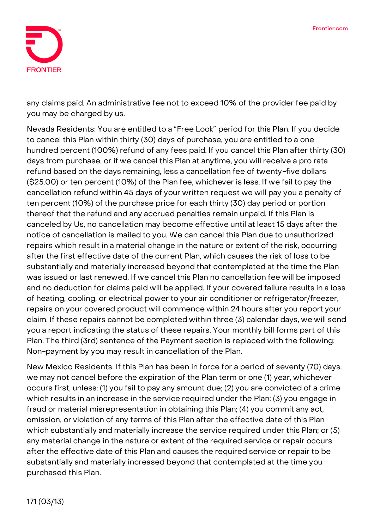

any claims paid. An administrative fee not to exceed 10% of the provider fee paid by you may be charged by us.

**Nevada Residents:** You are entitled to a "Free Look" period for this Plan. If you decide to cancel this Plan within thirty (30) days of purchase, you are entitled to a one hundred percent (100%) refund of any fees paid. If you cancel this Plan after thirty (30) days from purchase, or if we cancel this Plan at anytime, you will receive a pro rata refund based on the days remaining, less a cancellation fee of twenty-five dollars (\$25.00) or ten percent (10%) of the Plan fee, whichever is less. If we fail to pay the cancellation refund within 45 days of your written request we will pay you a penalty of ten percent (10%) of the purchase price for each thirty (30) day period or portion thereof that the refund and any accrued penalties remain unpaid. If this Plan is canceled by Us, no cancellation may become effective until at least 15 days after the notice of cancellation is mailed to you. We can cancel this Plan due to unauthorized repairs which result in a material change in the nature or extent of the risk, occurring after the first effective date of the current Plan, which causes the risk of loss to be substantially and materially increased beyond that contemplated at the time the Plan was issued or last renewed. If we cancel this Plan no cancellation fee will be imposed and no deduction for claims paid will be applied. If your covered failure results in a loss of heating, cooling, or electrical power to your air conditioner or refrigerator/freezer, repairs on your covered product will commence within 24 hours after you report your claim. If these repairs cannot be completed within three (3) calendar days, we will send you a report indicating the status of these repairs. Your monthly bill forms part of this Plan. The third (3rd) sentence of the Payment section is replaced with the following: Non-payment by you may result in cancellation of the Plan.

**New Mexico Residents:** If this Plan has been in force for a period of seventy (70) days, we may not cancel before the expiration of the Plan term or one (1) year, whichever occurs first, unless: (1) you fail to pay any amount due; (2) you are convicted of a crime which results in an increase in the service required under the Plan; (3) you engage in fraud or material misrepresentation in obtaining this Plan; (4) you commit any act, omission, or violation of any terms of this Plan after the effective date of this Plan which substantially and materially increase the service required under this Plan; or (5) any material change in the nature or extent of the required service or repair occurs after the effective date of this Plan and causes the required service or repair to be substantially and materially increased beyond that contemplated at the time you purchased this Plan.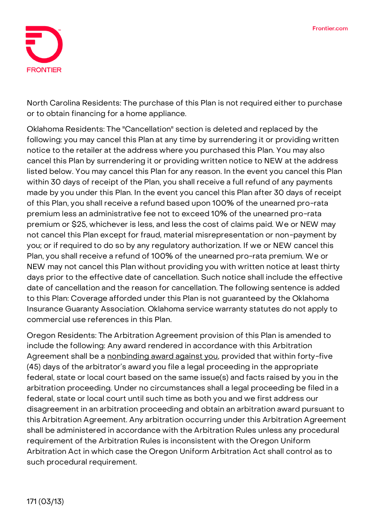

**North Carolina Residents:** The purchase of this Plan is not required either to purchase or to obtain financing for a home appliance.

**Oklahoma Residents:** The "Cancellation" section is deleted and replaced by the following: you may cancel this Plan at any time by surrendering it or providing written notice to the retailer at the address where you purchased this Plan. You may also cancel this Plan by surrendering it or providing written notice to NEW at the address listed below. You may cancel this Plan for any reason. In the event you cancel this Plan within 30 days of receipt of the Plan, you shall receive a full refund of any payments made by you under this Plan. In the event you cancel this Plan after 30 days of receipt of this Plan, you shall receive a refund based upon 100% of the unearned pro-rata premium less an administrative fee not to exceed 10% of the unearned pro-rata premium or \$25, whichever is less, and less the cost of claims paid. We or NEW may not cancel this Plan except for fraud, material misrepresentation or non-payment by you; or if required to do so by any regulatory authorization. If we or NEW cancel this Plan, you shall receive a refund of 100% of the unearned pro-rata premium. We or NEW may not cancel this Plan without providing you with written notice at least thirty days prior to the effective date of cancellation. Such notice shall include the effective date of cancellation and the reason for cancellation. The following sentence is added to this Plan: Coverage afforded under this Plan is not guaranteed by the Oklahoma Insurance Guaranty Association. Oklahoma service warranty statutes do not apply to commercial use references in this Plan.

**Oregon Residents:** The Arbitration Agreement provision of this Plan is amended to include the following: **Any award rendered in accordance with this Arbitration Agreement shall be a nonbinding award against you**, provided that within forty-five (45) days of the arbitrator's award you file a legal proceeding in the appropriate federal, state or local court based on the same issue(s) and facts raised by you in the arbitration proceeding. Under no circumstances shall a legal proceeding be filed in a federal, state or local court until such time as both you and we first address our disagreement in an arbitration proceeding and obtain an arbitration award pursuant to this Arbitration Agreement. Any arbitration occurring under this Arbitration Agreement shall be administered in accordance with the Arbitration Rules unless any procedural requirement of the Arbitration Rules is inconsistent with the Oregon Uniform Arbitration Act in which case the Oregon Uniform Arbitration Act shall control as to such procedural requirement.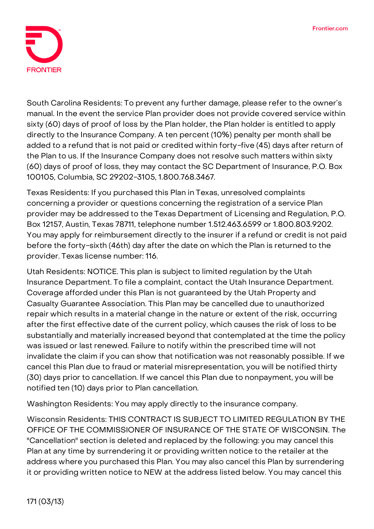

**South Carolina Residents:** To prevent any further damage, please refer to the owner's manual. In the event the service Plan provider does not provide covered service within sixty (60) days of proof of loss by the Plan holder, the Plan holder is entitled to apply directly to the Insurance Company. A ten percent (10%) penalty per month shall be added to a refund that is not paid or credited within forty-five (45) days after return of the Plan to us. If the Insurance Company does not resolve such matters within sixty (60) days of proof of loss, they may contact the SC Department of Insurance, P.O. Box 100105, Columbia, SC 29202-3105, 1.800.768.3467.

**Texas Residents:** If you purchased this Plan in Texas, unresolved complaints concerning a provider or questions concerning the registration of a service Plan provider may be addressed to the Texas Department of Licensing and Regulation, P.O. Box 12157, Austin, Texas 78711, telephone number 1.512.463.6599 or 1.800.803.9202. You may apply for reimbursement directly to the insurer if a refund or credit is not paid before the forty-sixth (46th) day after the date on which the Plan is returned to the provider. Texas license number: 116.

**Utah Residents: NOTICE. This plan is subject to limited regulation by the Utah Insurance Department.** To file a complaint, contact the Utah Insurance Department. Coverage afforded under this Plan is not guaranteed by the Utah Property and Casualty Guarantee Association. This Plan may be cancelled due to unauthorized repair which results in a material change in the nature or extent of the risk, occurring after the first effective date of the current policy, which causes the risk of loss to be substantially and materially increased beyond that contemplated at the time the policy was issued or last renewed. Failure to notify within the prescribed time will not invalidate the claim if you can show that notification was not reasonably possible. If we cancel this Plan due to fraud or material misrepresentation, you will be notified thirty (30) days prior to cancellation. If we cancel this Plan due to nonpayment, you will be notified ten (10) days prior to Plan cancellation.

**Washington Residents:** You may apply directly to the insurance company.

**Wisconsin Residents: THIS CONTRACT IS SUBJECT TO LIMITED REGULATION BY THE OFFICE OF THE COMMISSIONER OF INSURANCE OF THE STATE OF WISCONSIN.** The "Cancellation" section is deleted and replaced by the following: you may cancel this Plan at any time by surrendering it or providing written notice to the retailer at the address where you purchased this Plan. You may also cancel this Plan by surrendering it or providing written notice to NEW at the address listed below. You may cancel this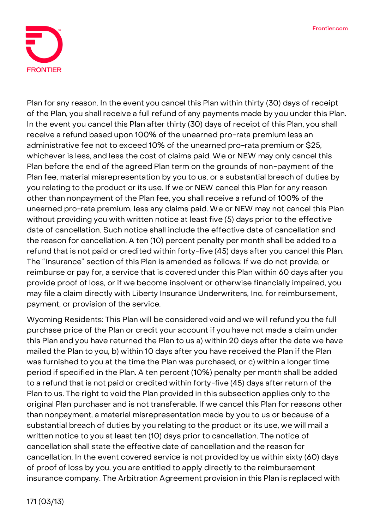

Plan for any reason. In the event you cancel this Plan within thirty (30) days of receipt of the Plan, you shall receive a full refund of any payments made by you under this Plan. In the event you cancel this Plan after thirty (30) days of receipt of this Plan, you shall receive a refund based upon 100% of the unearned pro-rata premium less an administrative fee not to exceed 10% of the unearned pro-rata premium or \$25, whichever is less, and less the cost of claims paid. We or NEW may only cancel this Plan before the end of the agreed Plan term on the grounds of non-payment of the Plan fee, material misrepresentation by you to us, or a substantial breach of duties by you relating to the product or its use. If we or NEW cancel this Plan for any reason other than nonpayment of the Plan fee, you shall receive a refund of 100% of the unearned pro-rata premium, less any claims paid. We or NEW may not cancel this Plan without providing you with written notice at least five (5) days prior to the effective date of cancellation. Such notice shall include the effective date of cancellation and the reason for cancellation. A ten (10) percent penalty per month shall be added to a refund that is not paid or credited within forty-five (45) days after you cancel this Plan. The "Insurance" section of this Plan is amended as follows: If we do not provide, or reimburse or pay for, a service that is covered under this Plan within 60 days after you provide proof of loss, or if we become insolvent or otherwise financially impaired, you may file a claim directly with Liberty Insurance Underwriters, Inc. for reimbursement, payment, or provision of the service.

**Wyoming Residents:** This Plan will be considered void and we will refund you the full purchase price of the Plan or credit your account if you have not made a claim under this Plan and you have returned the Plan to us a) within 20 days after the date we have mailed the Plan to you, b) within 10 days after you have received the Plan if the Plan was furnished to you at the time the Plan was purchased, or c) within a longer time period if specified in the Plan. A ten percent (10%) penalty per month shall be added to a refund that is not paid or credited within forty-five (45) days after return of the Plan to us. The right to void the Plan provided in this subsection applies only to the original Plan purchaser and is not transferable. If we cancel this Plan for reasons other than nonpayment, a material misrepresentation made by you to us or because of a substantial breach of duties by you relating to the product or its use, we will mail a written notice to you at least ten (10) days prior to cancellation. The notice of cancellation shall state the effective date of cancellation and the reason for cancellation. In the event covered service is not provided by us within sixty (60) days of proof of loss by you, you are entitled to apply directly to the reimbursement insurance company. The Arbitration Agreement provision in this Plan is replaced with